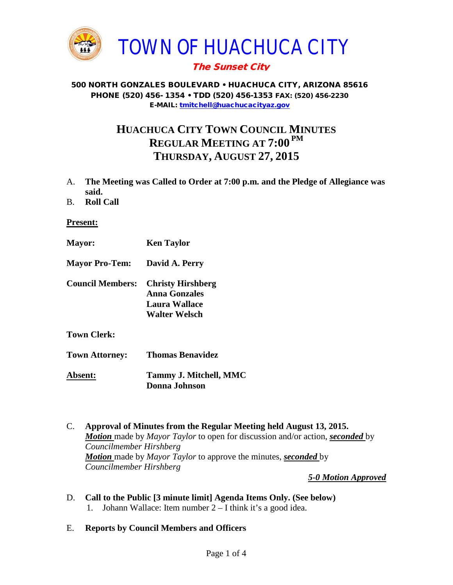

# The Sunset City

#### 500 NORTH GONZALES BOULEVARD • HUACHUCA CITY, ARIZONA 85616 PHONE (520) 456- 1354 • TDD (520) 456-1353 FAX: (520) 456-2230 E-MAIL: [tmitchell@huachucacityaz.gov](mailto:tmitchell@huachucacityaz.gov)

# **HUACHUCA CITY TOWN COUNCIL MINUTES REGULAR MEETING AT 7:00 PM THURSDAY, AUGUST 27, 2015**

- A. **The Meeting was Called to Order at 7:00 p.m. and the Pledge of Allegiance was said.**
- B. **Roll Call**

#### **Present:**

- **Mayor: Ken Taylor Mayor Pro-Tem: David A. Perry Council Members: Christy Hirshberg Anna Gonzales Laura Wallace Walter Welsch Town Clerk: Town Attorney: Thomas Benavidez**
- **Absent: Tammy J. Mitchell, MMC Donna Johnson**
- C. **Approval of Minutes from the Regular Meeting held August 13, 2015.** *Motion* made by *Mayor Taylor* to open for discussion and/or action, *seconded* by *Councilmember Hirshberg Motion* made by *Mayor Taylor* to approve the minutes, *seconded* by *Councilmember Hirshberg*

*5-0 Motion Approved*

- D. **Call to the Public [3 minute limit] Agenda Items Only. (See below)** 1. Johann Wallace: Item number 2 – I think it's a good idea.
- E. **Reports by Council Members and Officers**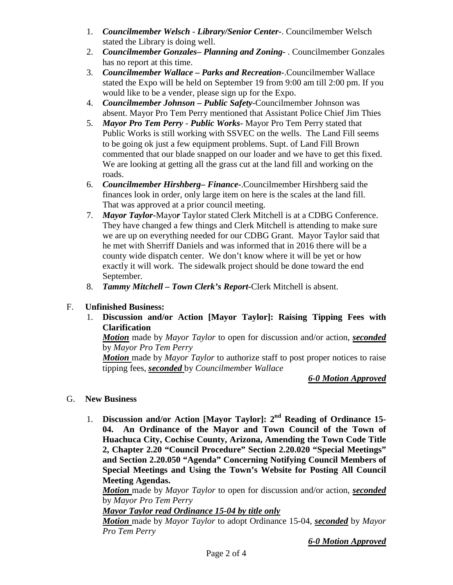- 1. *Councilmember Welsch - Library/Senior Center***-**. Councilmember Welsch stated the Library is doing well.
- 2. *Councilmember Gonzales***–** *Planning and Zoning-* . Councilmember Gonzales has no report at this time.
- 3. *Councilmember Wallace* **–** *Parks and Recreation***-**.Councilmember Wallace stated the Expo will be held on September 19 from 9:00 am till 2:00 pm. If you would like to be a vender, please sign up for the Expo.
- 4. *Councilmember Johnson – Public Safety-*Councilmember Johnson was absent. Mayor Pro Tem Perry mentioned that Assistant Police Chief Jim Thies
- 5. *Mayor Pro Tem Perry Public Works-* Mayor Pro Tem Perry stated that Public Works is still working with SSVEC on the wells. The Land Fill seems to be going ok just a few equipment problems. Supt. of Land Fill Brown commented that our blade snapped on our loader and we have to get this fixed. We are looking at getting all the grass cut at the land fill and working on the roads.
- 6. *Councilmember Hirshberg***–** *Finance-*.Councilmember Hirshberg said the finances look in order, only large item on here is the scales at the land fill. That was approved at a prior council meeting.
- 7. *Mayor Taylor-*Mayo*r* Taylor stated Clerk Mitchell is at a CDBG Conference. They have changed a few things and Clerk Mitchell is attending to make sure we are up on everything needed for our CDBG Grant. Mayor Taylor said that he met with Sherriff Daniels and was informed that in 2016 there will be a county wide dispatch center. We don't know where it will be yet or how exactly it will work. The sidewalk project should be done toward the end September.
- 8. *Tammy Mitchell – Town Clerk's Report-*Clerk Mitchell is absent.

# F. **Unfinished Business:**

1. **Discussion and/or Action [Mayor Taylor]: Raising Tipping Fees with Clarification**

*Motion* made by *Mayor Taylor* to open for discussion and/or action, *seconded* by *Mayor Pro Tem Perry*

*Motion* made by *Mayor Taylor* to authorize staff to post proper notices to raise tipping fees, *seconded* by *Councilmember Wallace*

# *6-0 Motion Approved*

- G. **New Business**
	- 1. **Discussion and/or Action [Mayor Taylor]: 2nd Reading of Ordinance 15- 04. An Ordinance of the Mayor and Town Council of the Town of Huachuca City, Cochise County, Arizona, Amending the Town Code Title 2, Chapter 2.20 "Council Procedure" Section 2.20.020 "Special Meetings" and Section 2.20.050 "Agenda" Concerning Notifying Council Members of Special Meetings and Using the Town's Website for Posting All Council Meeting Agendas.**

*Motion* made by *Mayor Taylor* to open for discussion and/or action, *seconded*  by *Mayor Pro Tem Perry*

# *Mayor Taylor read Ordinance 15-04 by title only*

*Motion* made by *Mayor Taylor* to adopt Ordinance 15-04, *seconded* by *Mayor Pro Tem Perry*

*6-0 Motion Approved*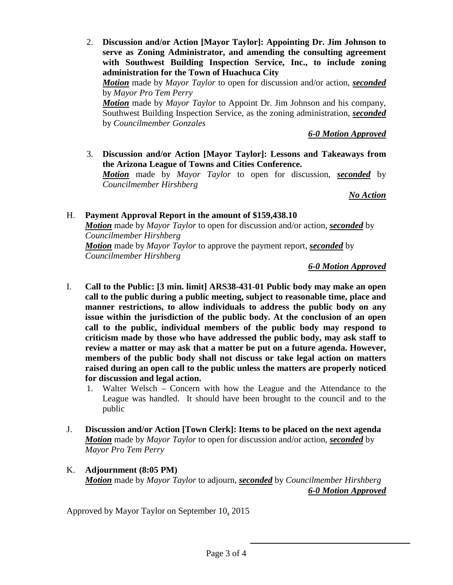2. **Discussion and/or Action [Mayor Taylor]: Appointing Dr. Jim Johnson to serve as Zoning Administrator, and amending the consulting agreement with Southwest Building Inspection Service, Inc., to include zoning administration for the Town of Huachuca City**

*Motion* made by *Mayor Taylor* to open for discussion and/or action, *seconded* by *Mayor Pro Tem Perry*

*Motion* made by *Mayor Taylor* to Appoint Dr. Jim Johnson and his company, Southwest Building Inspection Service, as the zoning administration, *seconded* by *Councilmember Gonzales*

*6-0 Motion Approved*

3. **Discussion and/or Action [Mayor Taylor]: Lessons and Takeaways from the Arizona League of Towns and Cities Conference.** *Motion* made by *Mayor Taylor* to open for discussion, *seconded* by *Councilmember Hirshberg*

*No Action*

H. **Payment Approval Report in the amount of \$159,438.10** *Motion* made by *Mayor Taylor* to open for discussion and/or action, *seconded* by *Councilmember Hirshberg Motion* made by *Mayor Taylor* to approve the payment report, *seconded* by *Councilmember Hirshberg*

*6-0 Motion Approved*

- I. **Call to the Public: [3 min. limit] ARS38-431-01 Public body may make an open call to the public during a public meeting, subject to reasonable time, place and manner restrictions, to allow individuals to address the public body on any issue within the jurisdiction of the public body. At the conclusion of an open call to the public, individual members of the public body may respond to criticism made by those who have addressed the public body, may ask staff to review a matter or may ask that a matter be put on a future agenda. However, members of the public body shall not discuss or take legal action on matters raised during an open call to the public unless the matters are properly noticed for discussion and legal action.**
	- 1. Walter Welsch Concern with how the League and the Attendance to the League was handled. It should have been brought to the council and to the public
- J. **Discussion and/or Action [Town Clerk]: Items to be placed on the next agenda** *Motion* made by *Mayor Taylor* to open for discussion and/or action, *seconded* by *Mayor Pro Tem Perry*
- K. **Adjournment (8:05 PM)** *Motion* made by *Mayor Taylor* to adjourn, *seconded* by *Councilmember Hirshberg 6-0 Motion Approved*

Approved by Mayor Taylor on September 10, 2015